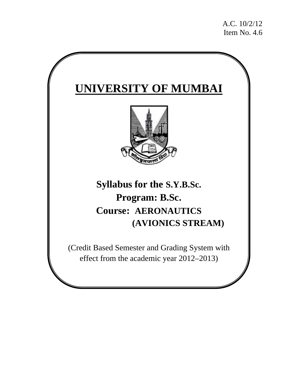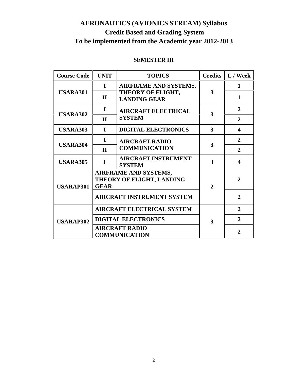# **AERONAUTICS (AVIONICS STREAM) Syllabus Credit Based and Grading System To be implemented from the Academic year 2012-2013**

#### **SEMESTER III**

| <b>Course Code</b> | <b>UNIT</b>                                                       | <b>TOPICS</b>                               |                | Credits $\  L /$ Week |
|--------------------|-------------------------------------------------------------------|---------------------------------------------|----------------|-----------------------|
|                    | $\mathbf I$                                                       | <b>AIRFRAME AND SYSTEMS,</b>                |                | 1                     |
| <b>USARA301</b>    | $\mathbf{I}$                                                      | THEORY OF FLIGHT,<br><b>LANDING GEAR</b>    | 3              | $\mathbf{1}$          |
|                    | L                                                                 | <b>AIRCRAFT ELECTRICAL</b>                  | 3              | $\overline{2}$        |
| <b>USARA302</b>    | $\mathbf{I}$                                                      | <b>SYSTEM</b>                               |                | $\overline{2}$        |
| <b>USARA303</b>    | T                                                                 | <b>DIGITAL ELECTRONICS</b>                  | 3              | 4                     |
| <b>USARA304</b>    | $\mathbf I$                                                       | <b>AIRCRAFT RADIO</b>                       |                | $\overline{2}$        |
|                    | $\mathbf{I}$                                                      | <b>COMMUNICATION</b>                        | 3              | $\overline{2}$        |
| <b>USARA305</b>    | I                                                                 | <b>AIRCRAFT INSTRUMENT</b><br><b>SYSTEM</b> | 3              | 4                     |
| <b>USARAP301</b>   | AIRFRAME AND SYSTEMS,<br>THEORY OF FLIGHT, LANDING<br><b>GEAR</b> |                                             | $\overline{2}$ | $\mathbf{2}$          |
|                    |                                                                   | <b>AIRCRAFT INSTRUMENT SYSTEM</b>           |                | $\overline{2}$        |
| <b>USARAP302</b>   | <b>AIRCRAFT ELECTRICAL SYSTEM</b>                                 |                                             |                | $\overline{2}$        |
|                    |                                                                   | <b>DIGITAL ELECTRONICS</b>                  | 3              | $\overline{2}$        |
|                    | <b>AIRCRAFT RADIO</b><br><b>COMMUNICATION</b>                     |                                             |                | $\overline{2}$        |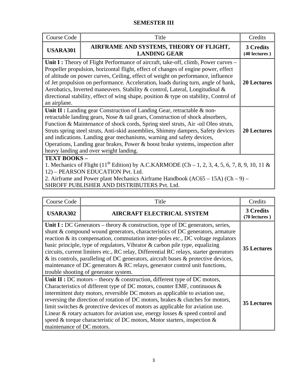### **SEMESTER III**

| Course Code                                                                                                                                                                                                                                                                                                | Title                                                                                                                                                                                                                                                                                                                                                                                                                                                                                                                                      | Credits                    |  |  |
|------------------------------------------------------------------------------------------------------------------------------------------------------------------------------------------------------------------------------------------------------------------------------------------------------------|--------------------------------------------------------------------------------------------------------------------------------------------------------------------------------------------------------------------------------------------------------------------------------------------------------------------------------------------------------------------------------------------------------------------------------------------------------------------------------------------------------------------------------------------|----------------------------|--|--|
| <b>USARA301</b>                                                                                                                                                                                                                                                                                            | AIRFRAME AND SYSTEMS, THEORY OF FLIGHT,<br><b>LANDING GEAR</b>                                                                                                                                                                                                                                                                                                                                                                                                                                                                             | 3 Credits<br>(40 lectures) |  |  |
| an airplane.                                                                                                                                                                                                                                                                                               | Unit I : Theory of Flight Performance of aircraft, take-off, climb, Power curves –<br>Propeller propulsion, horizontal flight, effect of changes of engine power, effect<br>of altitude on power curves, Ceiling, effect of weight on performance, influence<br>of Jet propulsion on performance. Acceleration, loads during turn, angle of bank,<br>Aerobatics, Inverted maneuvers. Stability & control, Lateral, Longitudinal &<br>directional stability, effect of wing shape, position & type on stability, Control of                 | <b>20 Lectures</b>         |  |  |
|                                                                                                                                                                                                                                                                                                            | Unit II : Landing gear Construction of Landing Gear, retractable $\&$ non-<br>retractable landing gears, Nose & tail gears, Construction of shock absorbers,<br>Function & Maintenance of shock cords, Spring steel struts, Air -oil Oleo struts,<br>Struts spring steel struts, Anti-skid assemblies, Shimmy dampers, Safety devices<br>and indications. Landing gear mechanisms, warning and safety devices,<br>Operations, Landing gear brakes, Power & boost brake systems, inspection after<br>heavy landing and over weight landing. | <b>20 Lectures</b>         |  |  |
| <b>TEXT BOOKS -</b><br>1. Mechanics of Flight (11 <sup>th</sup> Edition) by A.C.KARMODE (Ch – 1, 2, 3, 4, 5, 6, 7, 8, 9, 10, 11 &<br>12) – PEARSON EDUCATION Pvt. Ltd.<br>2. Airframe and Power plant Mechanics Airframe Handbook $(AC65 - 15A) (Ch - 9)$ –<br>SHROFF PUBLISHER AND DISTRIBUTERS Pvt. Ltd. |                                                                                                                                                                                                                                                                                                                                                                                                                                                                                                                                            |                            |  |  |

| <b>Course Code</b>                                                                                                                                                                                                                                                                                                                                                                                                                                                                                                                                                                                                                                  | Title                                                                                                                                                                                                                                                                                                                                                                                                                                                                                                                                                                             | Credits                    |  |
|-----------------------------------------------------------------------------------------------------------------------------------------------------------------------------------------------------------------------------------------------------------------------------------------------------------------------------------------------------------------------------------------------------------------------------------------------------------------------------------------------------------------------------------------------------------------------------------------------------------------------------------------------------|-----------------------------------------------------------------------------------------------------------------------------------------------------------------------------------------------------------------------------------------------------------------------------------------------------------------------------------------------------------------------------------------------------------------------------------------------------------------------------------------------------------------------------------------------------------------------------------|----------------------------|--|
| <b>USARA302</b>                                                                                                                                                                                                                                                                                                                                                                                                                                                                                                                                                                                                                                     | <b>AIRCRAFT ELECTRICAL SYSTEM</b>                                                                                                                                                                                                                                                                                                                                                                                                                                                                                                                                                 | 3 Credits<br>(70 lectures) |  |
| Unit I : DC Generators – theory $\&$ construction, type of DC generators, series,<br>shunt & compound wound generators, characteristics of DC generators, armature<br>reaction & its compensation, commutation inter-poles etc., DC voltage regulators<br>basic principle, type of regulators, Vibrator & carbon pile type, equalizing<br>circuits, current limiters etc., RC relay, Differential RC relays, starter generators<br>$\&$ its controls, paralleling of DC generators, aircraft buses $\&$ protective devices,<br>maintenance of DC generators & RC relays, generator control unit functions,<br>trouble shooting of generator system. |                                                                                                                                                                                                                                                                                                                                                                                                                                                                                                                                                                                   |                            |  |
| maintenance of DC motors.                                                                                                                                                                                                                                                                                                                                                                                                                                                                                                                                                                                                                           | Unit II : DC motors – theory $\&$ construction, different type of DC motors,<br>Characteristics of different type of DC motors, counter EMF, continuous &<br>intermittent duty motors, reversible DC motors as applicable to aviation use,<br>reversing the direction of rotation of DC motors, brakes & clutches for motors,<br>limit switches & protective devices of motors as applicable for aviation use.<br>Linear & rotary actuators for aviation use, energy losses $\&$ speed control and<br>speed & torque characteristic of DC motors, Motor starters, inspection $\&$ | <b>35 Lectures</b>         |  |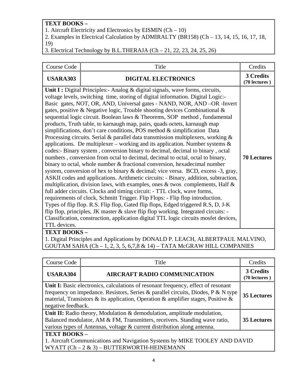## **TEXT BOOKS –**

1. Aircraft Electricity and Electronics by EISMIN (Ch – 10)

2. Examples in Electrical Calculation by ADMIRALTY (BR158) (Ch – 13, 14, 15, 16, 17, 18, 19)

3. Electrical Technology by B.L.THERAJA (Ch – 21, 22, 23, 24, 25, 26)

| <b>Course Code</b> | Title                                                                                                                                                                                                                                                                                                                                                                                                                                                                                                                                                                                                                                                                                                                                                                                                                                                                                                                                                                                                                                                                                                                                                                                                                                                                                                                                                                                                                                                                                                                                                                                                                                                                                           | Credits                    |
|--------------------|-------------------------------------------------------------------------------------------------------------------------------------------------------------------------------------------------------------------------------------------------------------------------------------------------------------------------------------------------------------------------------------------------------------------------------------------------------------------------------------------------------------------------------------------------------------------------------------------------------------------------------------------------------------------------------------------------------------------------------------------------------------------------------------------------------------------------------------------------------------------------------------------------------------------------------------------------------------------------------------------------------------------------------------------------------------------------------------------------------------------------------------------------------------------------------------------------------------------------------------------------------------------------------------------------------------------------------------------------------------------------------------------------------------------------------------------------------------------------------------------------------------------------------------------------------------------------------------------------------------------------------------------------------------------------------------------------|----------------------------|
| <b>USARA303</b>    | <b>DIGITAL ELECTRONICS</b>                                                                                                                                                                                                                                                                                                                                                                                                                                                                                                                                                                                                                                                                                                                                                                                                                                                                                                                                                                                                                                                                                                                                                                                                                                                                                                                                                                                                                                                                                                                                                                                                                                                                      | 3 Credits<br>(70 lectures) |
| TTL devices.       | Unit I : Digital Principles: - Analog & digital signals, wave forms, circuits,<br>voltage levels, switching time, storing of digital information. Digital Logic:-<br>Basic gates, NOT, OR, AND, Universal gates - NAND, NOR, AND -OR -Invert<br>gates, positive & Negative logic, Trouble shooting devices Combinational &<br>sequential logic circuit. Boolean laws & Theorems, SOP method, fundamental<br>products, Truth table, to karnaugh map, pairs, quads octets, karnaugh map<br>simplifications, don't care conditions, POS method $\&$ simplification Data<br>Processing circuits. Serial & parallel data transmission multiplexers, working $\&$<br>applications. De multiplexer – working and its application. Number systems $\&$<br>codes:- Binary system, conversion binary to decimal, decimal to binary, octal<br>numbers, conversion from octal to decimal, decimal to octal, octal to binary,<br>binary to octal, whole number & fractional conversion, hexadecimal number<br>system, conversion of hex to binary & decimal; vice versa. BCD, excess -3, gray,<br>ASKII codes and applications. Arithmetic circuits: - Binary, addition, subtraction,<br>multiplication, division laws, with examples, ones $\&$ twos complements, Half $\&$<br>full adder circuits. Clocks and timing circuit: - TTL clock, wave forms,<br>requirements of clock, Schmitt Trigger. Flip Flops: - Flip flop introduction.<br>Types of flip flop. R.S. Flip flop, Gated flip flops, Edged triggered R.S, D, J-K<br>flip flop, principles, JK master & slave flip flop working. Integrated circuits: -<br>Classification, construction, application digital TTL logic circuits mosfet devices, | <b>70 Lectures</b>         |
| <b>TEXT BOOKS-</b> | District Determines and Applications by DOMALD D. LEACH ALDEDTDALIL MALVINO                                                                                                                                                                                                                                                                                                                                                                                                                                                                                                                                                                                                                                                                                                                                                                                                                                                                                                                                                                                                                                                                                                                                                                                                                                                                                                                                                                                                                                                                                                                                                                                                                     |                            |

1. Digital Principles and Applications by DONALD P. LEACH, ALBERTPAUL MALVINO, GOUTAM SAHA (Ch - 1, 2, 3, 5, 6,7,8  $\&$  14) – TATA McGRAW HILL COMPANIES

| Course Code                                                                                                                                                                                                                                                                       | Title                               | Credits                           |  |  |
|-----------------------------------------------------------------------------------------------------------------------------------------------------------------------------------------------------------------------------------------------------------------------------------|-------------------------------------|-----------------------------------|--|--|
| <b>USARA304</b>                                                                                                                                                                                                                                                                   | <b>AIRCRAFT RADIO COMMUNICATION</b> | <b>3 Credits</b><br>(70 lectures) |  |  |
| Unit I: Basic electronics, calculations of resonant frequency, effect of resonant<br>frequency on impedance. Resistors, Series & parallel circuits, Diodes, P & N type<br>material, Transistors & its application, Operation & amplifier stages, Positive &<br>negative feedback. |                                     |                                   |  |  |
| Unit II: Radio theory, Modulation & demodulation, amplitude modulation,<br>Balanced modulator, AM & FM, Transmitters, receivers. Standing wave ratio,<br>various types of Antennas, voltage & current distribution along antenna.                                                 |                                     |                                   |  |  |
| TEXT BOOKS-<br>1. Aircraft Communications and Navigation Systems by MIKE TOOLEY AND DAVID<br>WYATT $(Ch - 2 & 3) - BUTTERWORTH-HEINEMANN$                                                                                                                                         |                                     |                                   |  |  |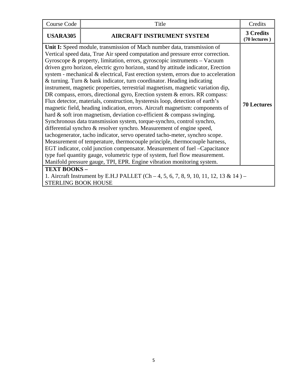| Course Code                               | Title                                                                                                                                                                                                                                                                                                                                                                                                                                                                                                                                                                                                                                                                                                                                                                                                                                                                                                                                                                                                                                                                                                                                                                                                                                                                                                                                                                                                                                                           | Credits                    |
|-------------------------------------------|-----------------------------------------------------------------------------------------------------------------------------------------------------------------------------------------------------------------------------------------------------------------------------------------------------------------------------------------------------------------------------------------------------------------------------------------------------------------------------------------------------------------------------------------------------------------------------------------------------------------------------------------------------------------------------------------------------------------------------------------------------------------------------------------------------------------------------------------------------------------------------------------------------------------------------------------------------------------------------------------------------------------------------------------------------------------------------------------------------------------------------------------------------------------------------------------------------------------------------------------------------------------------------------------------------------------------------------------------------------------------------------------------------------------------------------------------------------------|----------------------------|
| <b>USARA305</b>                           | <b>AIRCRAFT INSTRUMENT SYSTEM</b>                                                                                                                                                                                                                                                                                                                                                                                                                                                                                                                                                                                                                                                                                                                                                                                                                                                                                                                                                                                                                                                                                                                                                                                                                                                                                                                                                                                                                               | 3 Credits<br>(70 lectures) |
|                                           | Unit I: Speed module, transmission of Mach number data, transmission of<br>Vertical speed data, True Air speed computation and pressure error correction.<br>Gyroscope & property, limitation, errors, gyroscopic instruments - Vacuum<br>driven gyro horizon, electric gyro horizon, stand by attitude indicator, Erection<br>system - mechanical & electrical, Fast erection system, errors due to acceleration<br>& turning. Turn & bank indicator, turn coordinator. Heading indicating<br>instrument, magnetic properties, terrestrial magnetism, magnetic variation dip,<br>DR compass, errors, directional gyro, Erection system & errors. RR compass:<br>Flux detector, materials, construction, hysteresis loop, detection of earth's<br>magnetic field, heading indication, errors. Aircraft magnetism: components of<br>hard & soft iron magnetism, deviation co-efficient & compass swinging.<br>Synchronous data transmission system, torque-synchro, control synchro,<br>differential synchro & resolver synchro. Measurement of engine speed,<br>tachogenerator, tacho indicator, servo operated tacho-meter, synchro scope.<br>Measurement of temperature, thermocouple principle, thermocouple harness,<br>EGT indicator, cold junction compensator. Measurement of fuel -Capacitance<br>type fuel quantity gauge, volumetric type of system, fuel flow measurement.<br>Manifold pressure gauge, TPI, EPR. Engine vibration monitoring system. | <b>70 Lectures</b>         |
| TEXT BOOKS-<br><b>STERLING BOOK HOUSE</b> | 1. Aircraft Instrument by E.H.J PALLET (Ch – 4, 5, 6, 7, 8, 9, 10, 11, 12, 13 & 14) –                                                                                                                                                                                                                                                                                                                                                                                                                                                                                                                                                                                                                                                                                                                                                                                                                                                                                                                                                                                                                                                                                                                                                                                                                                                                                                                                                                           |                            |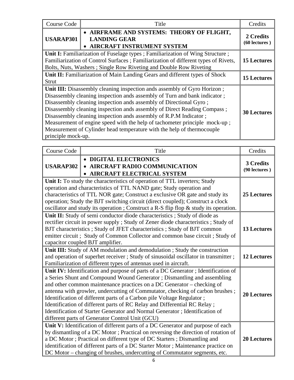| Course Code        | Title                                                                                                                                                                                                                                                                                                                                                                                                                                                                                                                                | Credits                    |
|--------------------|--------------------------------------------------------------------------------------------------------------------------------------------------------------------------------------------------------------------------------------------------------------------------------------------------------------------------------------------------------------------------------------------------------------------------------------------------------------------------------------------------------------------------------------|----------------------------|
| <b>USARAP301</b>   | • AIRFRAME AND SYSTEMS: THEORY OF FLIGHT,<br><b>LANDING GEAR</b><br>• AIRCRAFT INSTRUMENT SYSTEM                                                                                                                                                                                                                                                                                                                                                                                                                                     | 2 Credits<br>(60 lectures) |
|                    | <b>Unit I:</b> Familiarization of Fuselage types; Familiarization of Wing Structure;<br>Familiarization of Control Surfaces; Familiarization of different types of Rivets,<br>Bolts, Nuts, Washers; Single Row Riveting and Double Row Riveting                                                                                                                                                                                                                                                                                      | <b>15 Lectures</b>         |
| <b>Strut</b>       | Unit II: Familiarization of Main Landing Gears and different types of Shock                                                                                                                                                                                                                                                                                                                                                                                                                                                          | <b>15 Lectures</b>         |
| principle mock-up. | Unit III: Disassembly cleaning inspection ands assembly of Gyro Horizon;<br>Disassembly cleaning inspection ands assembly of Turn and bank indicator;<br>Disassembly cleaning inspection ands assembly of Directional Gyro;<br>Disassembly cleaning inspection ands assembly of Direct Reading Compass;<br>Disassembly cleaning inspection ands assembly of R.P.M Indicator;<br>Measurement of engine speed with the help of tachometer principle mock-up;<br>Measurement of Cylinder head temperature with the help of thermocouple | <b>30 Lectures</b>         |

| <b>Course Code</b> | Title                                                                                                                                                                                                                                                                                                                                                                                                                                                                                                                                                                                                          | Credits                    |
|--------------------|----------------------------------------------------------------------------------------------------------------------------------------------------------------------------------------------------------------------------------------------------------------------------------------------------------------------------------------------------------------------------------------------------------------------------------------------------------------------------------------------------------------------------------------------------------------------------------------------------------------|----------------------------|
| <b>USARAP302</b>   | • DIGITAL ELECTRONICS<br>• AIRCRAFT RADIO COMMUNICATION<br>AIRCRAFT ELECTRICAL SYSTEM                                                                                                                                                                                                                                                                                                                                                                                                                                                                                                                          | 3 Credits<br>(90 lectures) |
|                    | Unit I: To study the characteristics of operation of TTL inverters; Study<br>operation and characteristics of TTL NAND gate; Study operation and<br>characteristics of TTL NOR gate; Construct a exclusive OR gate and study its<br>operation; Study the BJT switching circuit (direct coupled); Construct a clock<br>oscillator and study its operation; Construct a R-S flip flop & study its operation.                                                                                                                                                                                                     | 25 Lectures                |
|                    | Unit II: Study of semi conductor diode characteristics ; Study of diode as<br>rectifier circuit in power supply; Study of Zener diode characteristics; Study of<br>BJT characteristics; Study of JFET characteristics; Study of BJT common<br>emitter circuit; Study of Common Collector and common base circuit; Study of<br>capacitor coupled BJT amplifier.                                                                                                                                                                                                                                                 | <b>13 Lectures</b>         |
|                    | Unit III: Study of AM modulation and demodulation ; Study the construction<br>and operation of superhet receiver; Study of sinusoidal oscillator in transmitter;<br>Familiarization of different types of antennas used in aircraft.                                                                                                                                                                                                                                                                                                                                                                           | <b>12 Lectures</b>         |
|                    | Unit IV: Identification and purpose of parts of a DC Generator; Identification of<br>a Series Shunt and Compound Wound Generator; Dismantling and assembling<br>and other common maintenance practices on a DC Generator - checking of<br>antenna with growler, undercutting of Commutator, checking of carbon brushes;<br>Identification of different parts of a Carbon pile Voltage Regulator;<br>Identification of different parts of RC Relay and Differential RC Relay;<br>Identification of Starter Generator and Normal Generator; Identification of<br>different parts of Generator Control Unit (GCU) | <b>20 Lectures</b>         |
|                    | Unit V: Identification of different parts of a DC Generator and purpose of each<br>by dismantling of a DC Motor; Practical on reversing the direction of rotation of<br>a DC Motor; Practical on different type of DC Starters; Dismantling and<br>identification of different parts of a DC Starter Motor; Maintenance practice on<br>DC Motor - changing of brushes, undercutting of Commutator segments, etc.                                                                                                                                                                                               | <b>20 Lectures</b>         |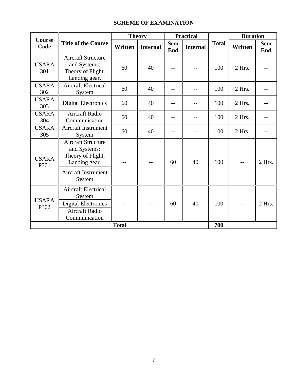#### **SCHEME OF EXAMINATION**

| <b>Course</b>        |                                                                                                               | <b>Theory</b> |                 | <b>Practical</b>         |                 |              | <b>Duration</b> |                   |
|----------------------|---------------------------------------------------------------------------------------------------------------|---------------|-----------------|--------------------------|-----------------|--------------|-----------------|-------------------|
| Code                 | <b>Title of the Course</b>                                                                                    | Written       | <b>Internal</b> | <b>Sem</b><br><b>End</b> | <b>Internal</b> | <b>Total</b> | Written         | <b>Sem</b><br>End |
| <b>USARA</b><br>301  | <b>Aircraft Structure</b><br>and Systems:<br>Theory of Flight,<br>Landing gear.                               | 60            | 40              |                          |                 | 100          | 2 Hrs.          |                   |
| <b>USARA</b><br>302  | <b>Aircraft Electrical</b><br>System                                                                          | 60            | 40              |                          |                 | 100          | 2 Hrs.          |                   |
| <b>USARA</b><br>303  | <b>Digital Electronics</b>                                                                                    | 60            | 40              | $-$                      |                 | 100          | 2 Hrs.          |                   |
| <b>USARA</b><br>304  | <b>Aircraft Radio</b><br>Communication                                                                        | 60            | 40              | $- -$                    | --              | 100          | 2 Hrs.          |                   |
| <b>USARA</b><br>305  | <b>Aircraft Instrument</b><br>System                                                                          | 60            | 40              |                          |                 | 100          | 2 Hrs.          |                   |
| <b>USARA</b><br>P301 | <b>Aircraft Structure</b><br>and Systems:<br>Theory of Flight,<br>Landing gear.<br><b>Aircraft Instrument</b> |               |                 | 60                       | 40              | 100          | $- -$           | 2 Hrs.            |
|                      | System                                                                                                        |               |                 |                          |                 |              |                 |                   |
| <b>USARA</b><br>P302 | <b>Aircraft Electrical</b><br>System<br><b>Digital Electronics</b><br><b>Aircraft Radio</b><br>Communication  |               | --              | 60                       | 40              | 100          | $-$             | 2 Hrs.            |
| <b>Total</b>         |                                                                                                               |               |                 |                          |                 | 700          |                 |                   |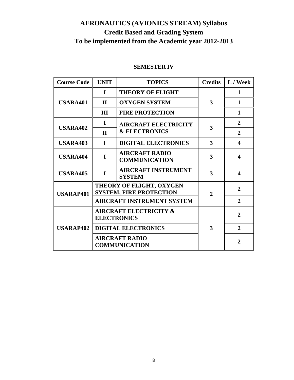# **AERONAUTICS (AVIONICS STREAM) Syllabus Credit Based and Grading System To be implemented from the Academic year 2012-2013**

| <b>Course Code</b> | <b>UNIT</b>                                                | <b>TOPICS</b>                                 | <b>Credits</b> | L / Week              |
|--------------------|------------------------------------------------------------|-----------------------------------------------|----------------|-----------------------|
|                    | $\bf{I}$                                                   | <b>THEORY OF FLIGHT</b>                       |                | 1                     |
| <b>USARA401</b>    | $\mathbf{H}$                                               | <b>OXYGEN SYSTEM</b>                          | 3              | $\mathbf{1}$          |
|                    | Ш                                                          | <b>FIRE PROTECTION</b>                        |                | $\mathbf{1}$          |
|                    | I                                                          | <b>AIRCRAFT ELECTRICITY</b>                   |                | $\overline{2}$        |
| <b>USARA402</b>    | $\mathbf{H}$                                               | <b>&amp; ELECTRONICS</b>                      | 3              | $\mathbf{2}$          |
| <b>USARA403</b>    | $\mathbf I$                                                | <b>DIGITAL ELECTRONICS</b>                    | 3              | 4                     |
| <b>USARA404</b>    | I                                                          | <b>AIRCRAFT RADIO</b><br><b>COMMUNICATION</b> | 3              | 4                     |
| <b>USARA405</b>    | I                                                          | <b>AIRCRAFT INSTRUMENT</b><br><b>SYSTEM</b>   | 3              | $\boldsymbol{\Delta}$ |
| <b>USARAP401</b>   | THEORY OF FLIGHT, OXYGEN<br><b>SYSTEM, FIRE PROTECTION</b> |                                               | 2              | $\overline{2}$        |
|                    |                                                            | <b>AIRCRAFT INSTRUMENT SYSTEM</b>             |                | $\overline{2}$        |
|                    | <b>AIRCRAFT ELECTRICITY &amp;</b><br><b>ELECTRONICS</b>    |                                               |                | $\overline{2}$        |
| <b>USARAP402</b>   | <b>DIGITAL ELECTRONICS</b>                                 |                                               | 3              | $\overline{2}$        |
|                    | <b>AIRCRAFT RADIO</b><br><b>COMMUNICATION</b>              |                                               |                | $\mathbf{2}$          |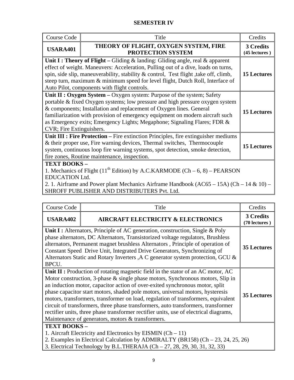### **SEMESTER IV**

| Course Code                                                                                                                                                                                                                                                                                         | Title                                                                                                                                                                                                                                                                                                                                                                                        | Credits                    |  |  |
|-----------------------------------------------------------------------------------------------------------------------------------------------------------------------------------------------------------------------------------------------------------------------------------------------------|----------------------------------------------------------------------------------------------------------------------------------------------------------------------------------------------------------------------------------------------------------------------------------------------------------------------------------------------------------------------------------------------|----------------------------|--|--|
| <b>USARA401</b>                                                                                                                                                                                                                                                                                     | THEORY OF FLIGHT, OXYGEN SYSTEM, FIRE<br>PROTECTION SYSTEM                                                                                                                                                                                                                                                                                                                                   | 3 Credits<br>(45 lectures) |  |  |
|                                                                                                                                                                                                                                                                                                     | Unit I : Theory of Flight – Gliding & landing: Gliding angle, real & apparent<br>effect of weight. Maneuvers: Acceleration, Pulling out of a dive, loads on turns,<br>spin, side slip, maneuverability, stability & control, Test flight, take off, climb,<br>steep turn, maximum & minimum speed for level flight, Dutch Roll, Interface of<br>Auto Pilot, components with flight controls. | <b>15 Lectures</b>         |  |  |
| CVR; Fire Extinguishers.                                                                                                                                                                                                                                                                            | Unit II : Oxygen System - Oxygen system: Purpose of the system; Safety<br>portable & fixed Oxygen systems; low pressure and high pressure oxygen system<br>& components; Installation and replacement of Oxygen lines. General<br>familiarization with provision of emergency equipment on modern aircraft such<br>as Emergency exits; Emergency Lights; Megaphone; Signaling Flares; FDR &  | <b>15 Lectures</b>         |  |  |
|                                                                                                                                                                                                                                                                                                     | Unit III : Fire Protection – Fire extinction Principles, fire extinguisher mediums<br>& their proper use, Fire warning devices, Thermal switches, Thermocouple<br>system, continuous loop fire warning systems, spot detection, smoke detection,<br>fire zones, Routine maintenance, inspection.                                                                                             | <b>15 Lectures</b>         |  |  |
| TEXT BOOKS-<br>1. Mechanics of Flight (11 <sup>th</sup> Edition) by A.C.KARMODE (Ch – 6, 8) – PEARSON<br><b>EDUCATION Ltd.</b><br>2. 1. Airframe and Power plant Mechanics Airframe Handbook (AC65 – 15A) (Ch – 14 & 10) –<br>$\alpha$ iin $\alpha$ ee niini i $\alpha$ iien. A in nigriniigieng n. |                                                                                                                                                                                                                                                                                                                                                                                              |                            |  |  |

SHROFF PUBLISHER AND DISTRIBUTERS Pvt. Ltd.

| Course Code                                                                                                                                                                                                                                                                                                                                                                                                                                                                                                                                                                                                                                                                                   | Title                                         | Credits                    |  |  |
|-----------------------------------------------------------------------------------------------------------------------------------------------------------------------------------------------------------------------------------------------------------------------------------------------------------------------------------------------------------------------------------------------------------------------------------------------------------------------------------------------------------------------------------------------------------------------------------------------------------------------------------------------------------------------------------------------|-----------------------------------------------|----------------------------|--|--|
| <b>USARA402</b>                                                                                                                                                                                                                                                                                                                                                                                                                                                                                                                                                                                                                                                                               | <b>AIRCRAFT ELECTRICITY &amp; ELECTRONICS</b> | 3 Credits<br>(70 lectures) |  |  |
| Unit I : Alternators, Principle of AC generation, construction, Single & Poly<br>phase alternators, DC Alternators, Transistorized voltage regulators, Brushless<br>alternators, Permanent magnet brushless Alternators, Principle of operation of<br><b>35 Lectures</b><br>Constant Speed Drive Unit, Integrated Drive Generators, Synchronizing of<br>Alternators Static and Rotary Inverters , A C generator system protection, GCU &<br>BPCU.                                                                                                                                                                                                                                             |                                               |                            |  |  |
| Unit $\mathbf{II}$ : Production of rotating magnetic field in the stator of an AC motor, AC<br>Motor construction, 3-phase & single phase motors, Synchronous motors, Slip in<br>an induction motor, capacitor action of over-exited synchronous motor, split<br>phase capacitor start motors, shaded pole motors, universal motors, hysteresis<br><b>35 Lectures</b><br>motors, transformers, transformer on load, regulation of transformers, equivalent<br>circuit of transformers, three phase transformers, auto transformers, transformer<br>rectifier units, three phase transformer rectifier units, use of electrical diagrams,<br>Maintenance of generators, motors & transformers. |                                               |                            |  |  |
| TEXT BOOKS-<br>1. Aircraft Electricity and Electronics by EISMIN (Ch $-11$ )<br>2. Examples in Electrical Calculation by ADMIRALTY (BR158) (Ch - 23, 24, 25, 26)<br>3. Electrical Technology by B.L.THERAJA (Ch – 27, 28, 29, 30, 31, 32, 33)                                                                                                                                                                                                                                                                                                                                                                                                                                                 |                                               |                            |  |  |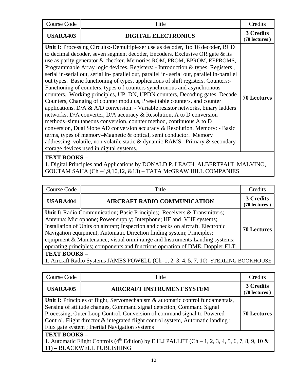| Course Code                                                                                                                                                                                                                                                                                                                                                                                                                                                                                                                                                                                                                                                                                                                                                                                                                                                                                                                                                                                                                                                                                                                                                                                                                                                                 | Title                      | Credits                    |  |  |
|-----------------------------------------------------------------------------------------------------------------------------------------------------------------------------------------------------------------------------------------------------------------------------------------------------------------------------------------------------------------------------------------------------------------------------------------------------------------------------------------------------------------------------------------------------------------------------------------------------------------------------------------------------------------------------------------------------------------------------------------------------------------------------------------------------------------------------------------------------------------------------------------------------------------------------------------------------------------------------------------------------------------------------------------------------------------------------------------------------------------------------------------------------------------------------------------------------------------------------------------------------------------------------|----------------------------|----------------------------|--|--|
| <b>USARA403</b>                                                                                                                                                                                                                                                                                                                                                                                                                                                                                                                                                                                                                                                                                                                                                                                                                                                                                                                                                                                                                                                                                                                                                                                                                                                             | <b>DIGITAL ELECTRONICS</b> | 3 Credits<br>(70 lectures) |  |  |
| Unit I: Processing Circuits:-Demultiplexer use as decoder, 1to 16 decoder, BCD<br>to decimal decoder, seven segment decoder, Encoders. Exclusive OR gate & its<br>use as parity generator & checker. Memories ROM, PROM, EPROM, EEPROMS,<br>Programmable Array logic devices. Registers: - Introduction & types. Registers,<br>serial in-serial out, serial in- parallel out, parallel in-serial out, parallel in-parallel<br>out types. Basic functioning of types, applications of shift registers. Counters:-<br>Functioning of counters, types of counters synchronous and asynchronous<br>counters. Working principles, UP, DN, UPDN counters, Decoding gates, Decade<br>Counters, Changing of counter modulus, Preset table counters, and counter<br>applications. D/A & A/D conversion: - Variable resistor networks, binary ladders<br>networks, D/A converter, D/A accuracy & Resolution, A to D conversion<br>methods-simultaneous conversion, counter method, continuous A to D<br>conversion, Dual Slope AD conversion accuracy & Resolution. Memory: - Basic<br>terms, types of memory–Magnetic & optical, semi conductor. Memory<br>addressing, volatile, non volatile static & dynamic RAMS. Primary & secondary<br>storage devices used in digital systems. |                            |                            |  |  |
| <b>TEXT BOOKS</b>                                                                                                                                                                                                                                                                                                                                                                                                                                                                                                                                                                                                                                                                                                                                                                                                                                                                                                                                                                                                                                                                                                                                                                                                                                                           |                            |                            |  |  |

1. Digital Principles and Applications by DONALD P. LEACH, ALBERTPAUL MALVINO, GOUTAM SAHA (Ch –4,9,10,12, &13) – TATA McGRAW HILL COMPANIES

| Course Code                                                                                                                                                                                                                                                                                                                                                                                                                                                                                        | Title                               | Credits                    |  |  |  |
|----------------------------------------------------------------------------------------------------------------------------------------------------------------------------------------------------------------------------------------------------------------------------------------------------------------------------------------------------------------------------------------------------------------------------------------------------------------------------------------------------|-------------------------------------|----------------------------|--|--|--|
| <b>USARA404</b>                                                                                                                                                                                                                                                                                                                                                                                                                                                                                    | <b>AIRCRAFT RADIO COMMUNICATION</b> | 3 Credits<br>(70 lectures) |  |  |  |
| Unit I: Radio Communication; Basic Principles; Receivers & Transmitters;<br>Antenna; Microphone; Power supply; Interphone; HF and VHF systems;<br>Installation of Units on aircraft; Inspection and checks on aircraft. Electronic<br><b>70 Lectures</b><br>Navigation equipment; Automatic Direction finding system; Principles;<br>equipment & Maintenance; visual omni range and Instruments Landing systems;<br>operating principles; components and functions operation of DME, Doppler, ELT. |                                     |                            |  |  |  |
| <b>TEXT BOOKS -</b>                                                                                                                                                                                                                                                                                                                                                                                                                                                                                |                                     |                            |  |  |  |

1. Aircraft Radio Systems JAMES POWELL (Ch–1, 2, 3, 4, 5, 7, 10)–STERLING BOOKHOUSE

| Course Code                                                                                                                                                                                                                                                                                                                                                                                  | Title                             | Credits                    |  |  |
|----------------------------------------------------------------------------------------------------------------------------------------------------------------------------------------------------------------------------------------------------------------------------------------------------------------------------------------------------------------------------------------------|-----------------------------------|----------------------------|--|--|
| <b>USARA405</b>                                                                                                                                                                                                                                                                                                                                                                              | <b>AIRCRAFT INSTRUMENT SYSTEM</b> | 3 Credits<br>(70 lectures) |  |  |
| Unit I: Principles of flight, Servomechanism & automatic control fundamentals,<br>Sensing of attitude changes, Command signal detection, Command Signal<br>Processing, Outer Loop Control, Conversion of command signal to Powered<br><b>70 Lectures</b><br>Control, Flight director & integrated flight control system, Automatic landing;<br>Flux gate system; Inertial Navigation systems |                                   |                            |  |  |
| TEXT BOOKS-<br>1. Automatic Flight Controls (4 <sup>th</sup> Edition) by E.H.J PALLET (Ch – 1, 2, 3, 4, 5, 6, 7, 8, 9, 10 &<br>11) - BLACKWELL PUBLISHING                                                                                                                                                                                                                                    |                                   |                            |  |  |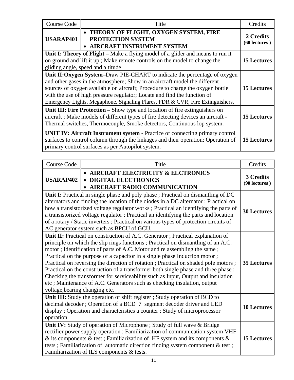| Course Code                                                                                                                                                                                                                                                                                                                                                                                             | Title                                                                                        | Credits                    |  |  |
|---------------------------------------------------------------------------------------------------------------------------------------------------------------------------------------------------------------------------------------------------------------------------------------------------------------------------------------------------------------------------------------------------------|----------------------------------------------------------------------------------------------|----------------------------|--|--|
| <b>USARAP401</b>                                                                                                                                                                                                                                                                                                                                                                                        | • THEORY OF FLIGHT, OXYGEN SYSTEM, FIRE<br>PROTECTION SYSTEM<br>• AIRCRAFT INSTRUMENT SYSTEM | 2 Credits<br>(60 lectures) |  |  |
| Unit I: Theory of Flight – Make a flying model of a glider and means to run it<br>on ground and lift it up; Make remote controls on the model to change the<br>gliding angle, speed and altitude.                                                                                                                                                                                                       |                                                                                              |                            |  |  |
| Unit II: Oxygen System-Draw PIE-CHART to indicate the percentage of oxygen<br>and other gases in the atmosphere; Show in an aircraft model the different<br>sources of oxygen available on aircraft; Procedure to charge the oxygen bottle<br>with the use of high pressure regulator; Locate and find the function of<br>Emergency Lights, Megaphone, Signaling Flares, FDR & CVR, Fire Extinguishers. |                                                                                              |                            |  |  |
| Unit III: Fire Protection – Show type and location of fire extinguishers on<br>aircraft; Make models of different types of fire detecting devices an aircraft -<br>Thermal switches, Thermocouple, Smoke detectors, Continuous lop system.                                                                                                                                                              |                                                                                              |                            |  |  |
| <b>UNIT IV: Aircraft Instrument system - Practice of connecting primary control</b><br>surfaces to control column through the linkages and their operation; Operation of<br>primary control surfaces as per Autopilot system.                                                                                                                                                                           |                                                                                              |                            |  |  |

| <b>Course Code</b>                                                                                                                                                                                                                                                                                                                                                                                                                                                                                                                                                                                                                                                                                        | Title                                                                                                    | Credits                    |  |
|-----------------------------------------------------------------------------------------------------------------------------------------------------------------------------------------------------------------------------------------------------------------------------------------------------------------------------------------------------------------------------------------------------------------------------------------------------------------------------------------------------------------------------------------------------------------------------------------------------------------------------------------------------------------------------------------------------------|----------------------------------------------------------------------------------------------------------|----------------------------|--|
| <b>USARAP402</b>                                                                                                                                                                                                                                                                                                                                                                                                                                                                                                                                                                                                                                                                                          | • AIRCRAFT ELECTRICITY & ELCTRONICS<br><b>DIGITAL ELECTRONICS</b><br><b>AIRCRAFT RADIO COMMUNICATION</b> | 3 Credits<br>(90 lectures) |  |
| Unit I: Practical in single phase and poly phase ; Practical on dismantling of DC<br>alternators and finding the location of the diodes in a DC alternator; Practical on<br>how a transistorized voltage regulator works; Practical an identifying the parts of<br>a transistorized voltage regulator; Practical an identifying the parts and location<br>of a rotary / Static inverters ; Practical on various types of protection circuits of<br>AC generator system such as BPCU of GCU.                                                                                                                                                                                                               |                                                                                                          |                            |  |
| Unit II: Practical on construction of A.C. Generator; Practical explanation of<br>principle on which the slip rings functions; Practical on dismantling of an A.C.<br>motor; Identification of parts of A.C. Motor and re assembling the same;<br>Practical on the purpose of a capacitor in a single phase Induction motor;<br>Practical on reversing the direction of rotation; Practical on shaded pole motors;<br>Practical on the construction of a transformer both single phase and three phase;<br>Checking the transformer for serviceability such as Input, Output and insulation<br>etc ; Maintenance of A.C. Generators such as checking insulation, output<br>voltage, bearing changing etc. |                                                                                                          |                            |  |
| Unit III: Study the operation of shift register; Study operation of BCD to<br>decimal decoder; Operation of a BCD 7 segment decoder driver and LED<br>display; Operation and characteristics a counter; Study of microprocessor<br>operation.                                                                                                                                                                                                                                                                                                                                                                                                                                                             |                                                                                                          |                            |  |
| Unit IV: Study of operation of Microphone ; Study of full wave & Bridge<br>rectifier power supply operation ; Familiarization of communication system VHF<br>& its components & test; Familiarization of HF system and its components $\&$<br>tests; Familiarization of automatic direction finding system component & test;<br>Familiarization of ILS components & tests.                                                                                                                                                                                                                                                                                                                                |                                                                                                          |                            |  |